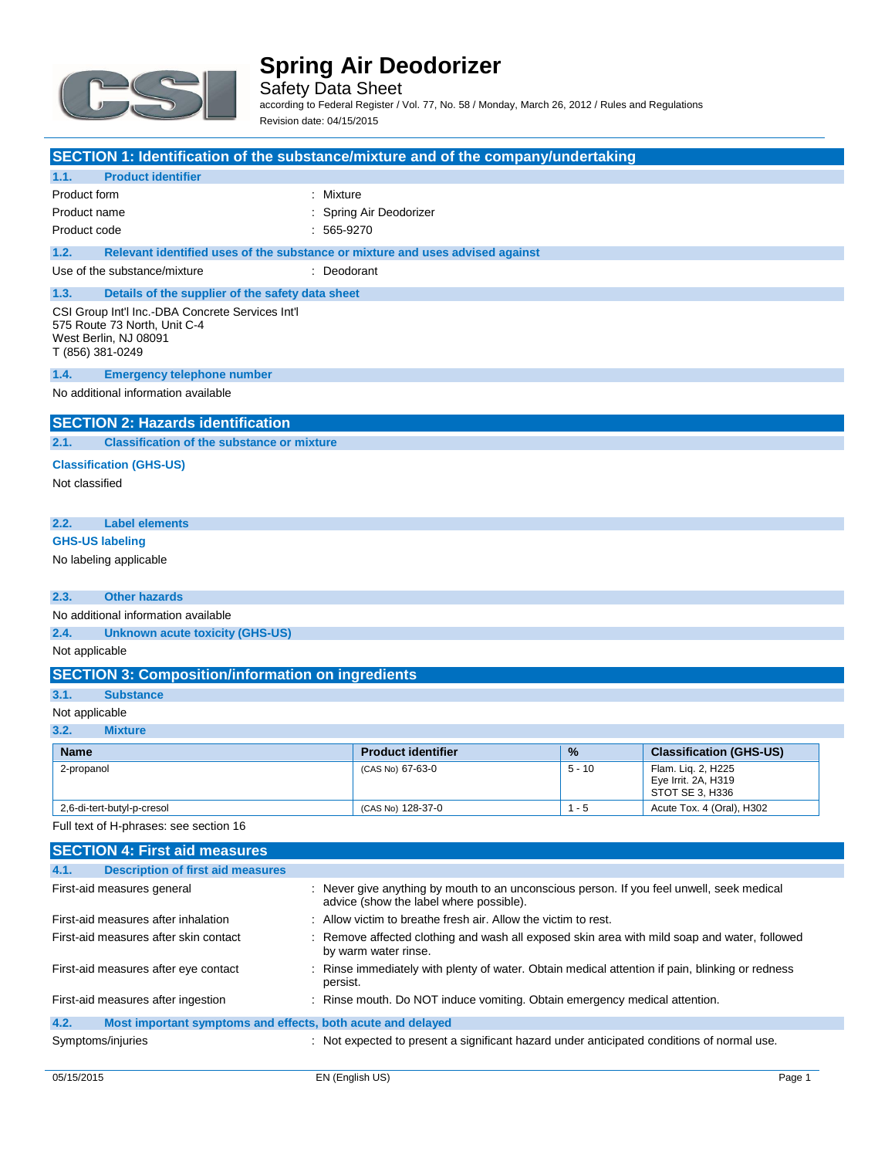

Safety Data Sheet according to Federal Register / Vol. 77, No. 58 / Monday, March 26, 2012 / Rules and Regulations Revision date: 04/15/2015

| SECTION 1: Identification of the substance/mixture and of the company/undertaking                                                                                  |                           |          |                                                              |  |
|--------------------------------------------------------------------------------------------------------------------------------------------------------------------|---------------------------|----------|--------------------------------------------------------------|--|
| 1.1.<br><b>Product identifier</b>                                                                                                                                  |                           |          |                                                              |  |
| : Mixture<br>Product form                                                                                                                                          |                           |          |                                                              |  |
| Product name<br>: Spring Air Deodorizer                                                                                                                            |                           |          |                                                              |  |
| Product code<br>$: 565-9270$                                                                                                                                       |                           |          |                                                              |  |
| 1.2.<br>Relevant identified uses of the substance or mixture and uses advised against                                                                              |                           |          |                                                              |  |
| Use of the substance/mixture<br>: Deodorant                                                                                                                        |                           |          |                                                              |  |
| 1.3.<br>Details of the supplier of the safety data sheet                                                                                                           |                           |          |                                                              |  |
| CSI Group Int'l Inc.-DBA Concrete Services Int'l<br>575 Route 73 North, Unit C-4<br>West Berlin, NJ 08091<br>T (856) 381-0249                                      |                           |          |                                                              |  |
| 1.4.<br><b>Emergency telephone number</b>                                                                                                                          |                           |          |                                                              |  |
| No additional information available                                                                                                                                |                           |          |                                                              |  |
| <b>SECTION 2: Hazards identification</b>                                                                                                                           |                           |          |                                                              |  |
| <b>Classification of the substance or mixture</b><br>2.1.                                                                                                          |                           |          |                                                              |  |
| <b>Classification (GHS-US)</b>                                                                                                                                     |                           |          |                                                              |  |
| Not classified                                                                                                                                                     |                           |          |                                                              |  |
|                                                                                                                                                                    |                           |          |                                                              |  |
| <b>Label elements</b><br>2.2.                                                                                                                                      |                           |          |                                                              |  |
| <b>GHS-US labeling</b>                                                                                                                                             |                           |          |                                                              |  |
| No labeling applicable                                                                                                                                             |                           |          |                                                              |  |
| 2.3.<br><b>Other hazards</b>                                                                                                                                       |                           |          |                                                              |  |
| No additional information available                                                                                                                                |                           |          |                                                              |  |
| 2.4.<br><b>Unknown acute toxicity (GHS-US)</b>                                                                                                                     |                           |          |                                                              |  |
| Not applicable                                                                                                                                                     |                           |          |                                                              |  |
| <b>SECTION 3: Composition/information on ingredients</b>                                                                                                           |                           |          |                                                              |  |
| 3.1.<br><b>Substance</b>                                                                                                                                           |                           |          |                                                              |  |
| Not applicable                                                                                                                                                     |                           |          |                                                              |  |
| 3.2.<br><b>Mixture</b>                                                                                                                                             |                           |          |                                                              |  |
| <b>Name</b>                                                                                                                                                        | <b>Product identifier</b> | %        | <b>Classification (GHS-US)</b>                               |  |
| 2-propanol                                                                                                                                                         | (CAS No) 67-63-0          | $5 - 10$ | Flam. Lig. 2, H225<br>Eye Irrit. 2A, H319<br>STOT SE 3, H336 |  |
| 2,6-di-tert-butyl-p-cresol                                                                                                                                         | (CAS No) 128-37-0         | $1 - 5$  | Acute Tox. 4 (Oral), H302                                    |  |
| Full text of H-phrases: see section 16                                                                                                                             |                           |          |                                                              |  |
| <b>SECTION 4: First aid measures</b>                                                                                                                               |                           |          |                                                              |  |
| 4.1.<br><b>Description of first aid measures</b>                                                                                                                   |                           |          |                                                              |  |
| : Never give anything by mouth to an unconscious person. If you feel unwell, seek medical<br>First-aid measures general<br>advice (show the label where possible). |                           |          |                                                              |  |
| First-aid measures after inhalation<br>: Allow victim to breathe fresh air. Allow the victim to rest.                                                              |                           |          |                                                              |  |

| First-aid measures after skin contact | : Remove affected clothing and wash all exposed skin area with mild soap and water, followed<br>by warm water rinse. |
|---------------------------------------|----------------------------------------------------------------------------------------------------------------------|
| First-aid measures after eye contact  | : Rinse immediately with plenty of water. Obtain medical attention if pain, blinking or redness<br>persist.          |
| First-aid measures after ingestion    | : Rinse mouth. Do NOT induce vomiting. Obtain emergency medical attention.                                           |
| 4.2.                                  | Most important symptoms and effects, both acute and delayed                                                          |

Symptoms/injuries **interpretent in the symptoms** of the symptoms/injuries interpretent a significant hazard under anticipated conditions of normal use.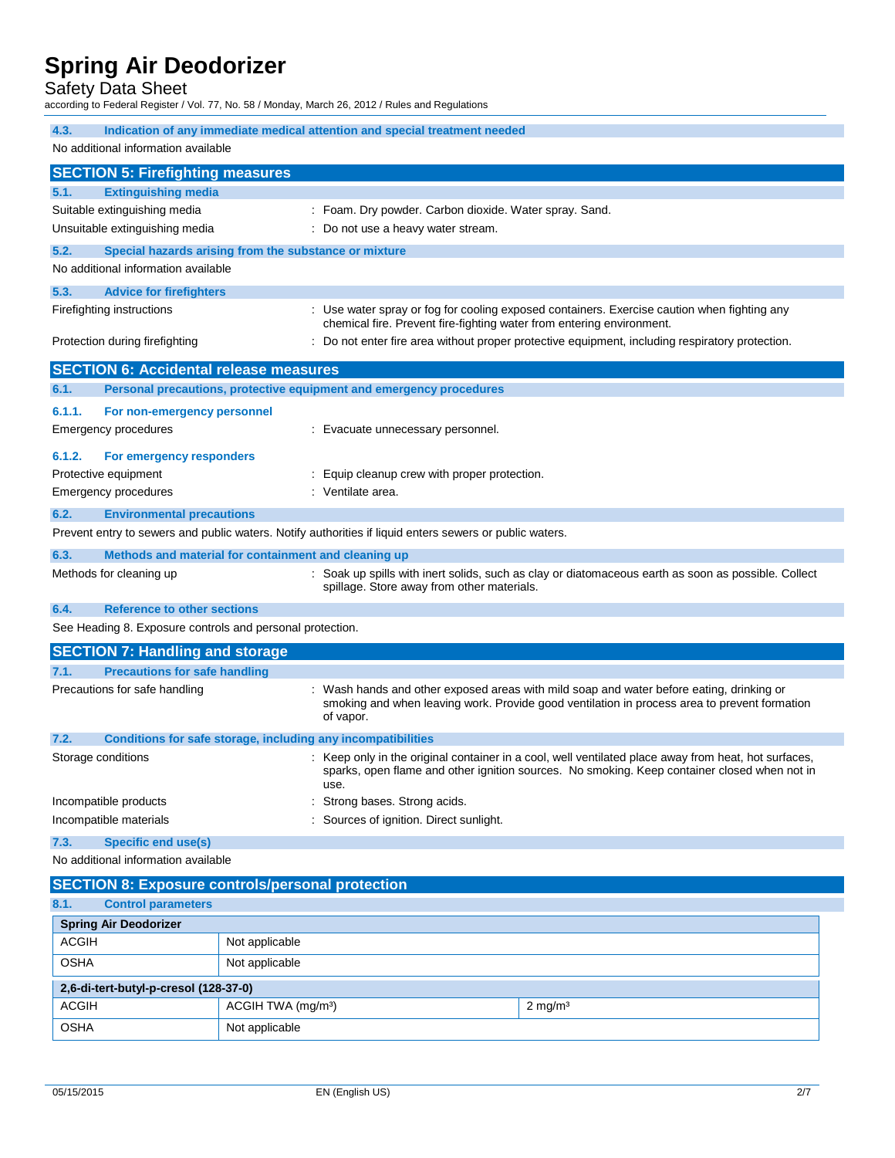### Safety Data Sheet

according to Federal Register / Vol. 77, No. 58 / Monday, March 26, 2012 / Rules and Regulations

| 4.3.<br>Indication of any immediate medical attention and special treatment needed |                                                                                                                                                                                                      |  |  |
|------------------------------------------------------------------------------------|------------------------------------------------------------------------------------------------------------------------------------------------------------------------------------------------------|--|--|
| No additional information available                                                |                                                                                                                                                                                                      |  |  |
| <b>SECTION 5: Firefighting measures</b>                                            |                                                                                                                                                                                                      |  |  |
| 5.1.<br><b>Extinguishing media</b>                                                 |                                                                                                                                                                                                      |  |  |
| Suitable extinguishing media                                                       | : Foam. Dry powder. Carbon dioxide. Water spray. Sand.                                                                                                                                               |  |  |
| Unsuitable extinguishing media                                                     | : Do not use a heavy water stream.                                                                                                                                                                   |  |  |
| 5.2.                                                                               | Special hazards arising from the substance or mixture                                                                                                                                                |  |  |
| No additional information available                                                |                                                                                                                                                                                                      |  |  |
| 5.3.<br><b>Advice for firefighters</b>                                             |                                                                                                                                                                                                      |  |  |
| Firefighting instructions                                                          | : Use water spray or fog for cooling exposed containers. Exercise caution when fighting any                                                                                                          |  |  |
|                                                                                    | chemical fire. Prevent fire-fighting water from entering environment.                                                                                                                                |  |  |
| Protection during firefighting                                                     | : Do not enter fire area without proper protective equipment, including respiratory protection.                                                                                                      |  |  |
| <b>SECTION 6: Accidental release measures</b>                                      |                                                                                                                                                                                                      |  |  |
| 6.1.                                                                               | Personal precautions, protective equipment and emergency procedures                                                                                                                                  |  |  |
| 6.1.1.<br>For non-emergency personnel                                              |                                                                                                                                                                                                      |  |  |
| <b>Emergency procedures</b>                                                        | : Evacuate unnecessary personnel.                                                                                                                                                                    |  |  |
| 6.1.2.<br>For emergency responders                                                 |                                                                                                                                                                                                      |  |  |
| Protective equipment                                                               | : Equip cleanup crew with proper protection.                                                                                                                                                         |  |  |
| <b>Emergency procedures</b>                                                        | : Ventilate area.                                                                                                                                                                                    |  |  |
| 6.2.<br><b>Environmental precautions</b>                                           |                                                                                                                                                                                                      |  |  |
|                                                                                    | Prevent entry to sewers and public waters. Notify authorities if liquid enters sewers or public waters.                                                                                              |  |  |
| 6.3.                                                                               |                                                                                                                                                                                                      |  |  |
| Methods for cleaning up                                                            | Methods and material for containment and cleaning up<br>: Soak up spills with inert solids, such as clay or diatomaceous earth as soon as possible. Collect                                          |  |  |
|                                                                                    | spillage. Store away from other materials.                                                                                                                                                           |  |  |
| 6.4.<br><b>Reference to other sections</b>                                         |                                                                                                                                                                                                      |  |  |
| See Heading 8. Exposure controls and personal protection.                          |                                                                                                                                                                                                      |  |  |
| <b>SECTION 7: Handling and storage</b>                                             |                                                                                                                                                                                                      |  |  |
| 7.1.<br><b>Precautions for safe handling</b>                                       |                                                                                                                                                                                                      |  |  |
| Precautions for safe handling                                                      | : Wash hands and other exposed areas with mild soap and water before eating, drinking or                                                                                                             |  |  |
|                                                                                    | smoking and when leaving work. Provide good ventilation in process area to prevent formation                                                                                                         |  |  |
|                                                                                    | of vapor.                                                                                                                                                                                            |  |  |
| 7.2.                                                                               | Conditions for safe storage, including any incompatibilities                                                                                                                                         |  |  |
| Storage conditions                                                                 | : Keep only in the original container in a cool, well ventilated place away from heat, hot surfaces,<br>sparks, open flame and other ignition sources. No smoking. Keep container closed when not in |  |  |
|                                                                                    | use.                                                                                                                                                                                                 |  |  |
| Incompatible products                                                              | Strong bases. Strong acids.                                                                                                                                                                          |  |  |
| Incompatible materials                                                             | : Sources of ignition. Direct sunlight.                                                                                                                                                              |  |  |
| 7.3.<br><b>Specific end use(s)</b>                                                 |                                                                                                                                                                                                      |  |  |
| No additional information available                                                |                                                                                                                                                                                                      |  |  |
| <b>SECTION 8: Exposure controls/personal protection</b>                            |                                                                                                                                                                                                      |  |  |
| 8.1.<br><b>Control parameters</b>                                                  |                                                                                                                                                                                                      |  |  |
| <b>Spring Air Deodorizer</b>                                                       |                                                                                                                                                                                                      |  |  |
| <b>ACGIH</b>                                                                       | Not applicable                                                                                                                                                                                       |  |  |
| <b>OSHA</b>                                                                        | Not applicable                                                                                                                                                                                       |  |  |
| 2,6-di-tert-butyl-p-cresol (128-37-0)                                              |                                                                                                                                                                                                      |  |  |
| <b>ACGIH</b>                                                                       | ACGIH TWA (mg/m <sup>3</sup> )<br>$2$ mg/m <sup>3</sup>                                                                                                                                              |  |  |

OSHA Not applicable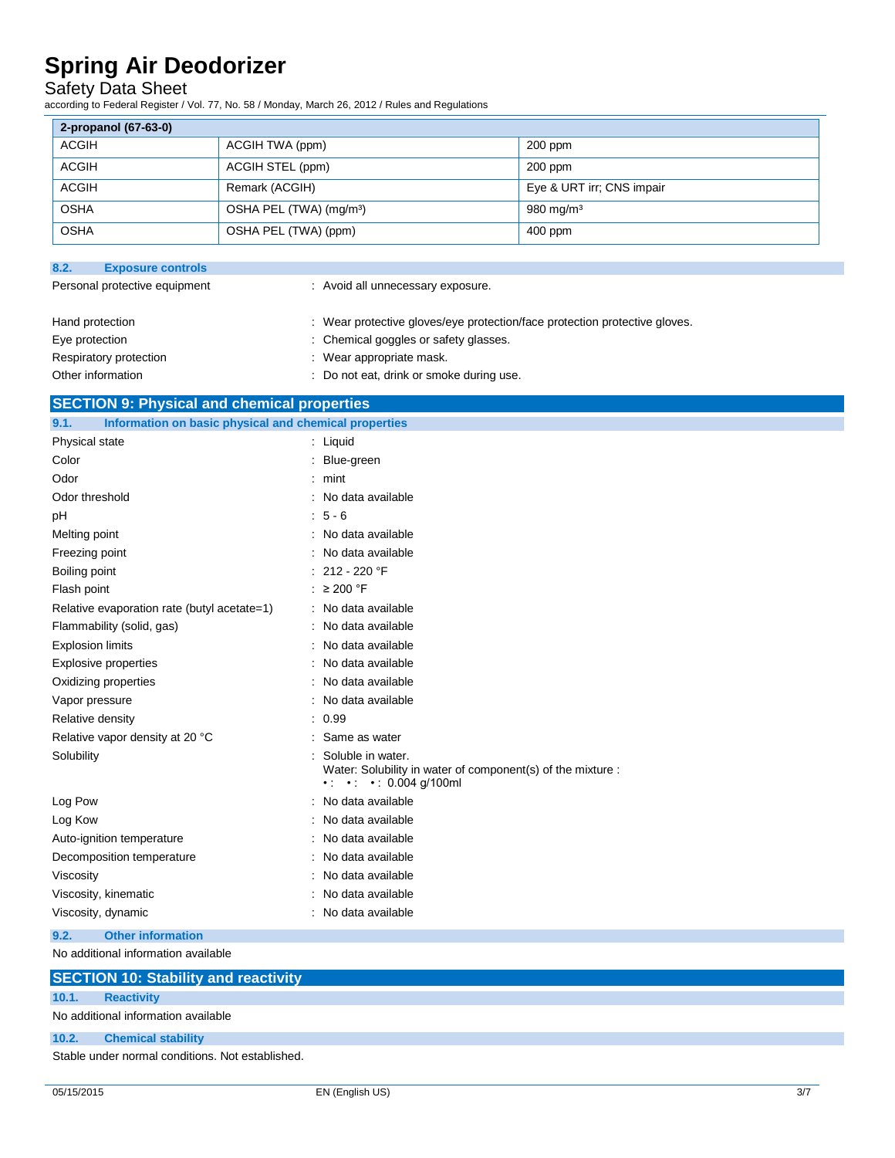### Safety Data Sheet

according to Federal Register / Vol. 77, No. 58 / Monday, March 26, 2012 / Rules and Regulations

| 2-propanol (67-63-0) |                                     |                           |  |
|----------------------|-------------------------------------|---------------------------|--|
| ACGIH                | ACGIH TWA (ppm)                     | $200$ ppm                 |  |
| ACGIH                | ACGIH STEL (ppm)                    | $200$ ppm                 |  |
| ACGIH                | Remark (ACGIH)                      | Eye & URT irr; CNS impair |  |
| <b>OSHA</b>          | OSHA PEL (TWA) (mg/m <sup>3</sup> ) | $980 \text{ mg/m}^3$      |  |
| <b>OSHA</b>          | OSHA PEL (TWA) (ppm)                | $400$ ppm                 |  |

| 8.2.<br><b>Exposure controls</b> |                                                                            |
|----------------------------------|----------------------------------------------------------------------------|
| Personal protective equipment    | : Avoid all unnecessary exposure.                                          |
| Hand protection                  | : Wear protective gloves/eye protection/face protection protective gloves. |
| Eye protection                   | : Chemical goggles or safety glasses.                                      |
| Respiratory protection           | : Wear appropriate mask.                                                   |
| Other information                | : Do not eat, drink or smoke during use.                                   |

### **SECTION 9: Physical and chemical properties**

| Information on basic physical and chemical properties<br>9.1. |                                                                                                                                   |
|---------------------------------------------------------------|-----------------------------------------------------------------------------------------------------------------------------------|
| Physical state                                                | : Liquid                                                                                                                          |
| Color                                                         | : Blue-green                                                                                                                      |
| Odor                                                          | $:$ mint                                                                                                                          |
| Odor threshold                                                | : No data available                                                                                                               |
| рH                                                            | $: 5 - 6$                                                                                                                         |
| Melting point                                                 | : No data available                                                                                                               |
| Freezing point                                                | : No data available                                                                                                               |
| Boiling point                                                 | : 212 - 220 $\degree$ F                                                                                                           |
| Flash point                                                   | : $\geq 200$ °F                                                                                                                   |
| Relative evaporation rate (butyl acetate=1)                   | : No data available                                                                                                               |
| Flammability (solid, gas)                                     | : No data available                                                                                                               |
| <b>Explosion limits</b>                                       | : No data available                                                                                                               |
| Explosive properties                                          | : No data available                                                                                                               |
| Oxidizing properties                                          | : No data available                                                                                                               |
| Vapor pressure                                                | : No data available                                                                                                               |
| Relative density                                              | : 0.99                                                                                                                            |
| Relative vapor density at 20 °C                               | : Same as water                                                                                                                   |
| Solubility                                                    | Soluble in water.<br>Water: Solubility in water of component(s) of the mixture :<br>$\cdot$ $\cdot$ $\cdot$ $\cdot$ 0.004 g/100ml |
| Log Pow                                                       | : No data available                                                                                                               |
| Log Kow                                                       | : No data available                                                                                                               |
| Auto-ignition temperature                                     | : No data available                                                                                                               |
| Decomposition temperature                                     | : No data available                                                                                                               |
| Viscosity                                                     | : No data available                                                                                                               |
| Viscosity, kinematic                                          | : No data available                                                                                                               |
| Viscosity, dynamic                                            | : No data available                                                                                                               |
| 9.2.<br><b>Other information</b>                              |                                                                                                                                   |

No additional information available

|       | <b>SECTION 10: Stability and reactivity</b>      |
|-------|--------------------------------------------------|
| 10.1. | <b>Reactivity</b>                                |
|       | No additional information available              |
| 10.2. | <b>Chemical stability</b>                        |
|       | Stable under normal conditions. Not established. |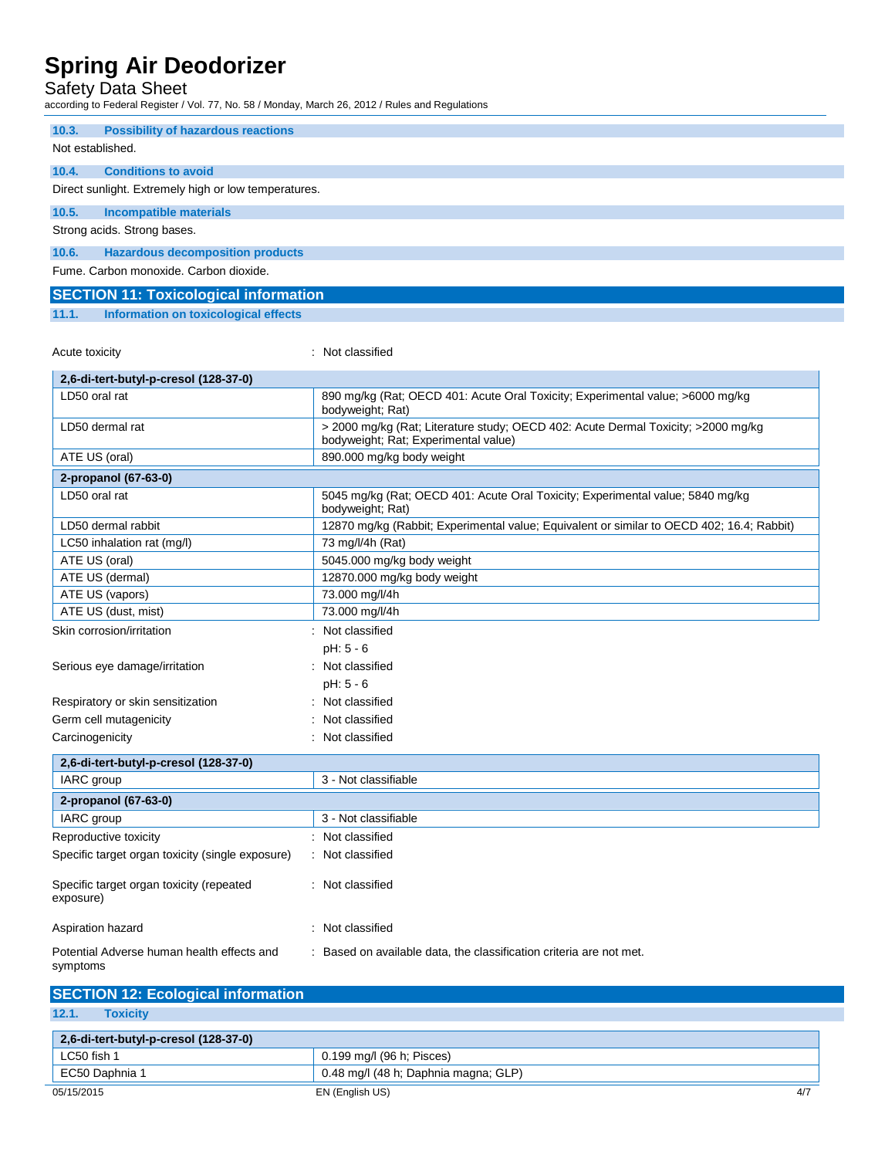### Safety Data Sheet

according to Federal Register / Vol. 77, No. 58 / Monday, March 26, 2012 / Rules and Regulations

| 10.3.                                                | <b>Possibility of hazardous reactions</b> |  |  |  |
|------------------------------------------------------|-------------------------------------------|--|--|--|
|                                                      | Not established.                          |  |  |  |
|                                                      |                                           |  |  |  |
| 10.4.                                                | <b>Conditions to avoid</b>                |  |  |  |
| Direct sunlight. Extremely high or low temperatures. |                                           |  |  |  |
| 10.5.                                                | <b>Incompatible materials</b>             |  |  |  |
| Strong acids. Strong bases.                          |                                           |  |  |  |
| 10.6.                                                | <b>Hazardous decomposition products</b>   |  |  |  |
| Fume, Carbon monoxide, Carbon dioxide,               |                                           |  |  |  |

### **SECTION 11: Toxicological information**

### **11.1. Information on toxicological effects**

Acute toxicity **in the case of the contract of the contract of the contract of the contract of the contract of the contract of the contract of the contract of the contract of the contract of the contract of the contract of** 

| 2,6-di-tert-butyl-p-cresol (128-37-0)                  |                                                                                                                           |
|--------------------------------------------------------|---------------------------------------------------------------------------------------------------------------------------|
| LD50 oral rat                                          | 890 mg/kg (Rat; OECD 401: Acute Oral Toxicity; Experimental value; >6000 mg/kg<br>bodyweight; Rat)                        |
| LD50 dermal rat                                        | > 2000 mg/kg (Rat; Literature study; OECD 402: Acute Dermal Toxicity; >2000 mg/kg<br>bodyweight; Rat; Experimental value) |
| ATE US (oral)                                          | 890.000 mg/kg body weight                                                                                                 |
| 2-propanol (67-63-0)                                   |                                                                                                                           |
| LD50 oral rat                                          | 5045 mg/kg (Rat; OECD 401: Acute Oral Toxicity; Experimental value; 5840 mg/kg<br>bodyweight; Rat)                        |
| LD50 dermal rabbit                                     | 12870 mg/kg (Rabbit; Experimental value; Equivalent or similar to OECD 402; 16.4; Rabbit)                                 |
| LC50 inhalation rat (mg/l)                             | 73 mg/l/4h (Rat)                                                                                                          |
| ATE US (oral)                                          | 5045.000 mg/kg body weight                                                                                                |
| ATE US (dermal)                                        | 12870.000 mg/kg body weight                                                                                               |
| ATE US (vapors)                                        | 73.000 mg/l/4h                                                                                                            |
| ATE US (dust, mist)                                    | 73.000 mg/l/4h                                                                                                            |
| Skin corrosion/irritation                              | Not classified                                                                                                            |
|                                                        | pH: 5 - 6                                                                                                                 |
| Serious eye damage/irritation                          | : Not classified                                                                                                          |
|                                                        | $pH: 5 - 6$                                                                                                               |
| Respiratory or skin sensitization                      | Not classified                                                                                                            |
| Germ cell mutagenicity                                 | Not classified                                                                                                            |
| Carcinogenicity                                        | Not classified                                                                                                            |
| 2,6-di-tert-butyl-p-cresol (128-37-0)                  |                                                                                                                           |
| IARC group                                             | 3 - Not classifiable                                                                                                      |
| 2-propanol (67-63-0)                                   |                                                                                                                           |
| IARC group                                             | 3 - Not classifiable                                                                                                      |
| Reproductive toxicity                                  | Not classified                                                                                                            |
| Specific target organ toxicity (single exposure)       | : Not classified                                                                                                          |
| Specific target organ toxicity (repeated<br>exposure)  | : Not classified                                                                                                          |
| Aspiration hazard                                      | Not classified                                                                                                            |
| Potential Adverse human health effects and<br>symptoms | : Based on available data, the classification criteria are not met.                                                       |

| <b>SECTION 12: Ecological information</b> |                                      |      |
|-------------------------------------------|--------------------------------------|------|
| 12.1.<br><b>Toxicity</b>                  |                                      |      |
| 2,6-di-tert-butyl-p-cresol (128-37-0)     |                                      |      |
| LC50 fish 1                               | 0.199 mg/l (96 h; Pisces)            |      |
| EC50 Daphnia 1                            | 0.48 mg/l (48 h; Daphnia magna; GLP) |      |
| 05/15/2015                                | EN (English US)                      | -4/7 |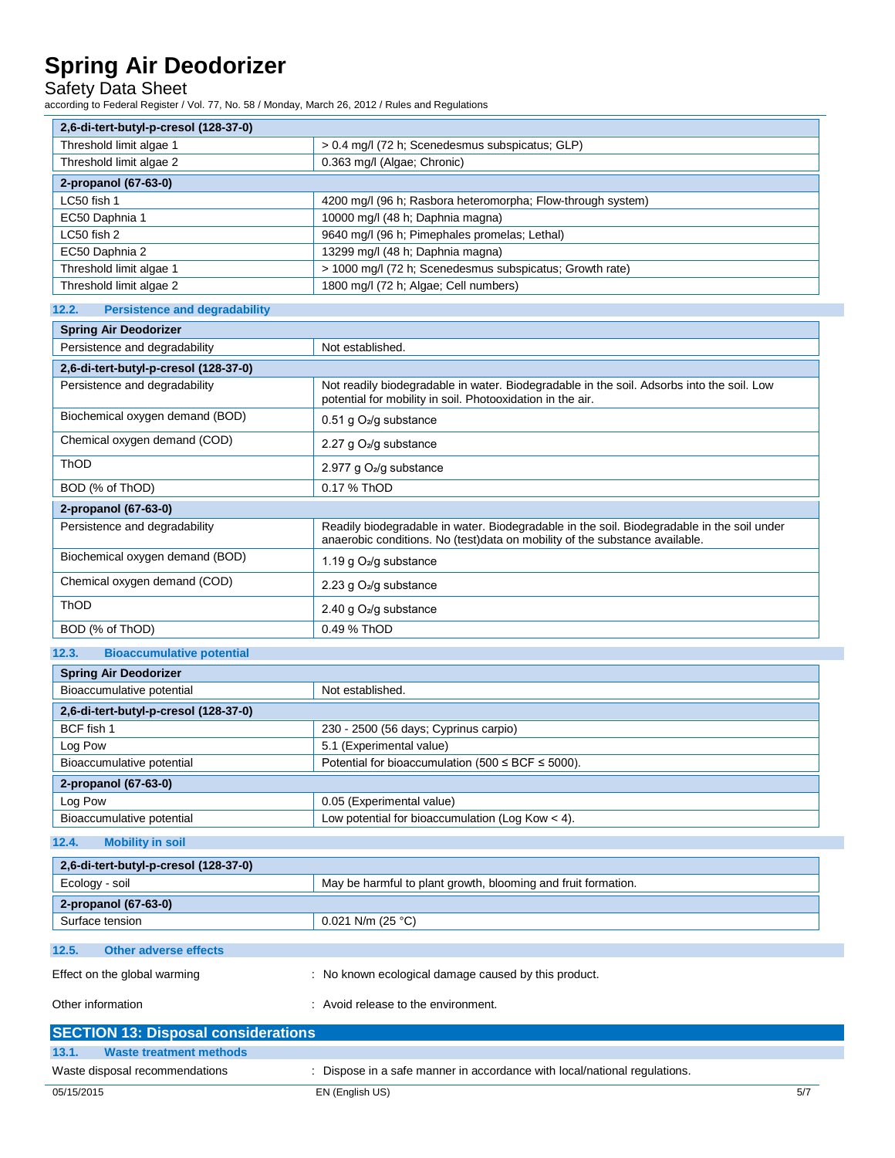Safety Data Sheet

according to Federal Register / Vol. 77, No. 58 / Monday, March 26, 2012 / Rules and Regulations

| $\sim$ ululiy tu Fucial Reyister / Yul. 77, NU. Jo / Mulluay, Martii 20, 2012 / Rules and Reyulations<br>2,6-di-tert-butyl-p-cresol (128-37-0) |                                                                                                                                                                           |  |  |
|------------------------------------------------------------------------------------------------------------------------------------------------|---------------------------------------------------------------------------------------------------------------------------------------------------------------------------|--|--|
| Threshold limit algae 1                                                                                                                        | > 0.4 mg/l (72 h; Scenedesmus subspicatus; GLP)                                                                                                                           |  |  |
| Threshold limit algae 2                                                                                                                        | 0.363 mg/l (Algae; Chronic)                                                                                                                                               |  |  |
| 2-propanol (67-63-0)                                                                                                                           |                                                                                                                                                                           |  |  |
| LC50 fish 1                                                                                                                                    | 4200 mg/l (96 h; Rasbora heteromorpha; Flow-through system)                                                                                                               |  |  |
| EC50 Daphnia 1                                                                                                                                 | 10000 mg/l (48 h; Daphnia magna)                                                                                                                                          |  |  |
| LC50 fish 2                                                                                                                                    | 9640 mg/l (96 h; Pimephales promelas; Lethal)                                                                                                                             |  |  |
| EC50 Daphnia 2                                                                                                                                 | 13299 mg/l (48 h; Daphnia magna)                                                                                                                                          |  |  |
| Threshold limit algae 1                                                                                                                        | > 1000 mg/l (72 h; Scenedesmus subspicatus; Growth rate)                                                                                                                  |  |  |
| Threshold limit algae 2                                                                                                                        | 1800 mg/l (72 h; Algae; Cell numbers)                                                                                                                                     |  |  |
| 12.2.<br><b>Persistence and degradability</b>                                                                                                  |                                                                                                                                                                           |  |  |
| <b>Spring Air Deodorizer</b>                                                                                                                   |                                                                                                                                                                           |  |  |
| Persistence and degradability                                                                                                                  | Not established.                                                                                                                                                          |  |  |
| 2,6-di-tert-butyl-p-cresol (128-37-0)                                                                                                          |                                                                                                                                                                           |  |  |
| Persistence and degradability                                                                                                                  | Not readily biodegradable in water. Biodegradable in the soil. Adsorbs into the soil. Low<br>potential for mobility in soil. Photooxidation in the air.                   |  |  |
| Biochemical oxygen demand (BOD)                                                                                                                | 0.51 g $O_2$ /g substance                                                                                                                                                 |  |  |
| Chemical oxygen demand (COD)                                                                                                                   | 2.27 g $O_2$ /g substance                                                                                                                                                 |  |  |
| ThOD                                                                                                                                           | 2.977 g O <sub>2</sub> /g substance                                                                                                                                       |  |  |
| BOD (% of ThOD)                                                                                                                                | 0.17 % ThOD                                                                                                                                                               |  |  |
| 2-propanol (67-63-0)                                                                                                                           |                                                                                                                                                                           |  |  |
| Persistence and degradability                                                                                                                  | Readily biodegradable in water. Biodegradable in the soil. Biodegradable in the soil under<br>anaerobic conditions. No (test)data on mobility of the substance available. |  |  |
| Biochemical oxygen demand (BOD)                                                                                                                | 1.19 g O <sub>2</sub> /g substance                                                                                                                                        |  |  |
| Chemical oxygen demand (COD)                                                                                                                   | 2.23 g O <sub>2</sub> /g substance                                                                                                                                        |  |  |
| ThOD                                                                                                                                           | 2.40 g O <sub>2</sub> /g substance                                                                                                                                        |  |  |
| BOD (% of ThOD)                                                                                                                                | 0.49 % ThOD                                                                                                                                                               |  |  |
| 12.3.<br><b>Bioaccumulative potential</b>                                                                                                      |                                                                                                                                                                           |  |  |
| <b>Spring Air Deodorizer</b>                                                                                                                   |                                                                                                                                                                           |  |  |
| Bioaccumulative potential                                                                                                                      | Not established.                                                                                                                                                          |  |  |
| 2,6-di-tert-butyl-p-cresol (128-37-0)                                                                                                          |                                                                                                                                                                           |  |  |
| BCF fish 1                                                                                                                                     | 230 - 2500 (56 days; Cyprinus carpio)                                                                                                                                     |  |  |
| Log Pow                                                                                                                                        | 5.1 (Experimental value)                                                                                                                                                  |  |  |
| Bioaccumulative potential                                                                                                                      | Potential for bioaccumulation (500 $\leq$ BCF $\leq$ 5000).                                                                                                               |  |  |
| 2-propanol (67-63-0)                                                                                                                           |                                                                                                                                                                           |  |  |
| Log Pow                                                                                                                                        | 0.05 (Experimental value)                                                                                                                                                 |  |  |
| Bioaccumulative potential                                                                                                                      | Low potential for bioaccumulation (Log Kow $<$ 4).                                                                                                                        |  |  |
| <b>Mobility in soil</b><br>12.4.                                                                                                               |                                                                                                                                                                           |  |  |
| 2,6-di-tert-butyl-p-cresol (128-37-0)                                                                                                          |                                                                                                                                                                           |  |  |
| Ecology - soil                                                                                                                                 | May be harmful to plant growth, blooming and fruit formation.                                                                                                             |  |  |
|                                                                                                                                                |                                                                                                                                                                           |  |  |
| 2-propanol (67-63-0)<br>Surface tension                                                                                                        | 0.021 N/m (25 °C)                                                                                                                                                         |  |  |
|                                                                                                                                                |                                                                                                                                                                           |  |  |
| <b>Other adverse effects</b><br>12.5.                                                                                                          |                                                                                                                                                                           |  |  |
| Effect on the global warming                                                                                                                   | : No known ecological damage caused by this product.                                                                                                                      |  |  |
| Other information                                                                                                                              | : Avoid release to the environment.                                                                                                                                       |  |  |
|                                                                                                                                                |                                                                                                                                                                           |  |  |

|                                | <b>SECTION 13: Disposal considerations</b> |                                                                           |     |  |
|--------------------------------|--------------------------------------------|---------------------------------------------------------------------------|-----|--|
| 13.1.                          | Waste treatment methods                    |                                                                           |     |  |
| Waste disposal recommendations |                                            | : Dispose in a safe manner in accordance with local/national regulations. |     |  |
| 05/15/2015                     |                                            | EN (English US)                                                           | 5/7 |  |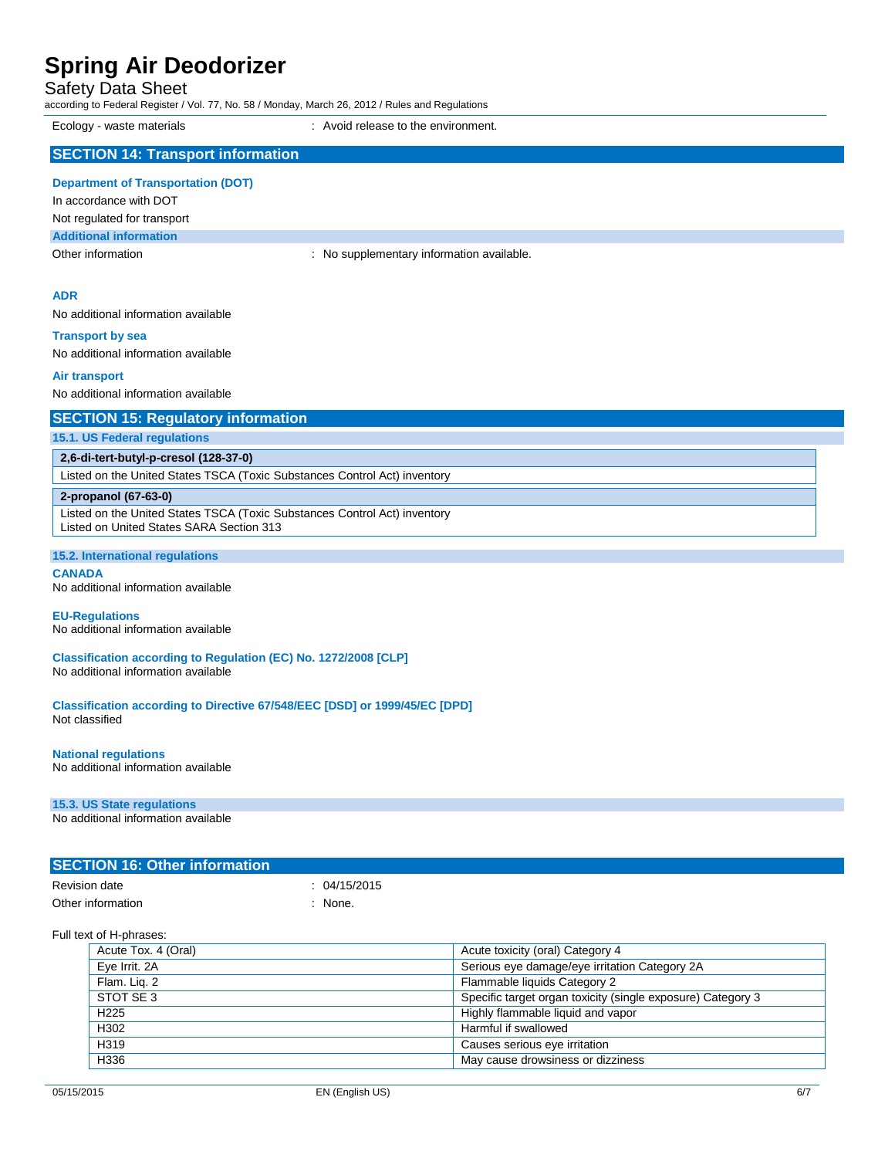| Safety Data Sheet                                                                                      | according to Federal Register / Vol. 77, No. 58 / Monday, March 26, 2012 / Rules and Regulations |  |  |
|--------------------------------------------------------------------------------------------------------|--------------------------------------------------------------------------------------------------|--|--|
| Ecology - waste materials                                                                              | Avoid release to the environment.                                                                |  |  |
| <b>SECTION 14: Transport information</b>                                                               |                                                                                                  |  |  |
| <b>Department of Transportation (DOT)</b>                                                              |                                                                                                  |  |  |
| In accordance with DOT                                                                                 |                                                                                                  |  |  |
| Not regulated for transport<br><b>Additional information</b>                                           |                                                                                                  |  |  |
| Other information                                                                                      | : No supplementary information available.                                                        |  |  |
|                                                                                                        |                                                                                                  |  |  |
| <b>ADR</b><br>No additional information available                                                      |                                                                                                  |  |  |
|                                                                                                        |                                                                                                  |  |  |
| <b>Transport by sea</b><br>No additional information available                                         |                                                                                                  |  |  |
|                                                                                                        |                                                                                                  |  |  |
| <b>Air transport</b><br>No additional information available                                            |                                                                                                  |  |  |
|                                                                                                        |                                                                                                  |  |  |
| <b>SECTION 15: Regulatory information</b><br>15.1. US Federal regulations                              |                                                                                                  |  |  |
| 2,6-di-tert-butyl-p-cresol (128-37-0)                                                                  |                                                                                                  |  |  |
|                                                                                                        | Listed on the United States TSCA (Toxic Substances Control Act) inventory                        |  |  |
| 2-propanol (67-63-0)                                                                                   |                                                                                                  |  |  |
| Listed on United States SARA Section 313                                                               | Listed on the United States TSCA (Toxic Substances Control Act) inventory                        |  |  |
|                                                                                                        |                                                                                                  |  |  |
| 15.2. International regulations<br><b>CANADA</b>                                                       |                                                                                                  |  |  |
| No additional information available                                                                    |                                                                                                  |  |  |
| <b>EU-Regulations</b><br>No additional information available                                           |                                                                                                  |  |  |
| Classification according to Regulation (EC) No. 1272/2008 [CLP]<br>No additional information available |                                                                                                  |  |  |
| Not classified                                                                                         | Classification according to Directive 67/548/EEC [DSD] or 1999/45/EC [DPD]                       |  |  |
| <b>National regulations</b><br>No additional information available                                     |                                                                                                  |  |  |
| 15.3. US State regulations                                                                             |                                                                                                  |  |  |
| No additional information available                                                                    |                                                                                                  |  |  |
|                                                                                                        |                                                                                                  |  |  |

### **SECTION 16: Other information**

| <b>Revision date</b> | : 04/15/2015 |
|----------------------|--------------|
| Other information    | : None.      |

#### Full text of H-phrases:

| Acute Tox. 4 (Oral) | Acute toxicity (oral) Category 4                            |
|---------------------|-------------------------------------------------------------|
| Eye Irrit. 2A       | Serious eye damage/eye irritation Category 2A               |
| Flam. Lig. 2        | Flammable liquids Category 2                                |
| STOT SE3            | Specific target organ toxicity (single exposure) Category 3 |
| H <sub>225</sub>    | Highly flammable liquid and vapor                           |
| H302                | Harmful if swallowed                                        |
| H319                | Causes serious eye irritation                               |
| H336                | May cause drowsiness or dizziness                           |